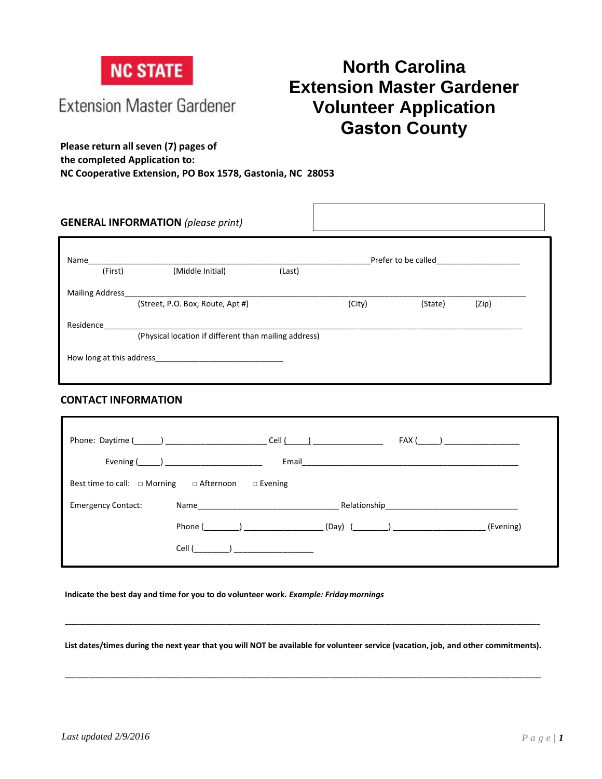

**Extension Master Gardener** 

# **North Carolina Extension Master Gardener Volunteer Application Gaston County**

**Please return all seven (7) pages of the completed Application to: NC Cooperative Extension, PO Box 1578, Gastonia, NC 28053**

| Name                   | Prefer to be called <b>Exercise 2008</b>              |        |        |         |       |
|------------------------|-------------------------------------------------------|--------|--------|---------|-------|
| (First)                | (Middle Initial)                                      | (Last) |        |         |       |
| <b>Mailing Address</b> |                                                       |        |        |         |       |
|                        | (Street, P.O. Box, Route, Apt #)                      |        | (City) | (State) | (Zip) |
| Residence              |                                                       |        |        |         |       |
|                        | (Physical location if different than mailing address) |        |        |         |       |

#### **CONTACT INFORMATION**

| Phone: Daytime (_______) ________                                                                                                          | Cell (College College Co<br>FAX (                          |
|--------------------------------------------------------------------------------------------------------------------------------------------|------------------------------------------------------------|
|                                                                                                                                            | Email                                                      |
| Best time to call: $\Box$ Morning $\Box$ Afternoon                                                                                         | $\square$ Evening                                          |
| <b>Emergency Contact:</b><br>Name and the state of the state of the state of the state of the state of the state of the state of the state | Relationship                                               |
| Phone ( and )                                                                                                                              | (Evening)<br>. (Day) (____________) ______________________ |
| Cell (                                                                                                                                     |                                                            |

#### **Indicate the best day and time for you to do volunteer work.** *Example: Fridaymornings*

**List dates/times during the next year that you will NOT be available for volunteer service (vacation, job, and other commitments).**

\_\_\_\_\_\_\_\_\_\_\_\_\_\_\_\_\_\_\_\_\_\_\_\_\_\_\_\_\_\_\_\_\_\_\_\_\_\_\_\_\_\_\_\_\_\_\_\_\_\_\_\_\_\_\_\_\_\_\_\_\_\_\_\_\_\_\_\_\_\_\_\_\_\_\_\_\_\_\_\_\_

\_\_\_\_\_\_\_\_\_\_\_\_\_\_\_\_\_\_\_\_\_\_\_\_\_\_\_\_\_\_\_\_\_\_\_\_\_\_\_\_\_\_\_\_\_\_\_\_\_\_\_\_\_\_\_\_\_\_\_\_\_\_\_\_\_\_\_\_\_\_\_\_\_\_\_\_\_\_\_\_\_\_\_\_\_\_\_\_\_\_\_\_\_\_\_\_\_\_\_\_\_\_\_\_\_\_\_\_\_\_\_\_\_\_\_\_\_\_\_\_\_\_\_\_\_\_\_\_\_\_\_\_\_\_\_\_\_\_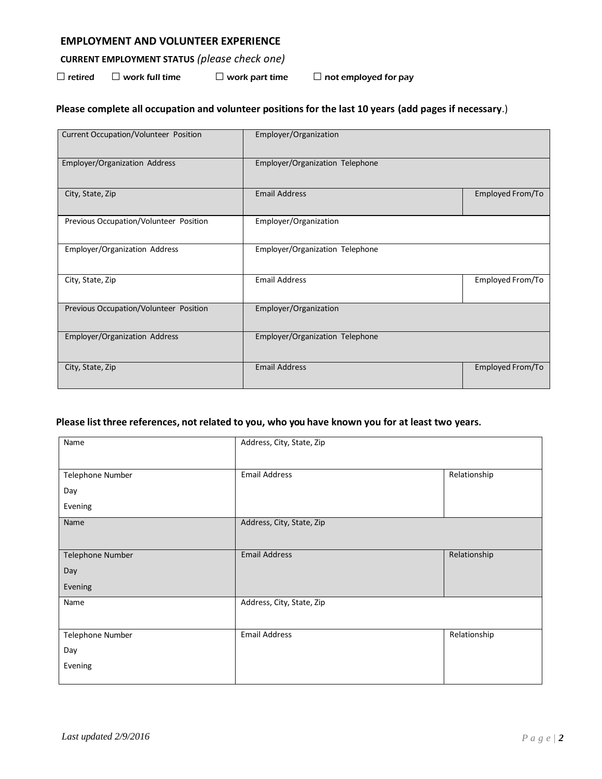### **EMPLOYMENT AND VOLUNTEER EXPERIENCE**

# **CURRENT EMPLOYMENT STATUS** *(please check one)*

 $\Box$  retired  $\Box$  work full time  $\Box$  work part time  $\Box$  not employed for pay

# **Please complete all occupation and volunteer positions for the last 10 years (add pages if necessary**.)

| <b>Current Occupation/Volunteer Position</b> | Employer/Organization           |                  |
|----------------------------------------------|---------------------------------|------------------|
| Employer/Organization Address                | Employer/Organization Telephone |                  |
| City, State, Zip                             | <b>Email Address</b>            | Employed From/To |
| Previous Occupation/Volunteer Position       | Employer/Organization           |                  |
| Employer/Organization Address                | Employer/Organization Telephone |                  |
| City, State, Zip                             | <b>Email Address</b>            | Employed From/To |
| Previous Occupation/Volunteer Position       | Employer/Organization           |                  |
| Employer/Organization Address                | Employer/Organization Telephone |                  |
| City, State, Zip                             | <b>Email Address</b>            | Employed From/To |

#### **Please list three references, not related to you, who you have known you for at least two years.**

| Name             | Address, City, State, Zip |              |
|------------------|---------------------------|--------------|
|                  |                           |              |
| Telephone Number | <b>Email Address</b>      | Relationship |
| Day              |                           |              |
| Evening          |                           |              |
| Name             | Address, City, State, Zip |              |
|                  |                           |              |
| Telephone Number | <b>Email Address</b>      | Relationship |
| Day              |                           |              |
| Evening          |                           |              |
| Name             | Address, City, State, Zip |              |
|                  |                           |              |
| Telephone Number | <b>Email Address</b>      | Relationship |
| Day              |                           |              |
| Evening          |                           |              |
|                  |                           |              |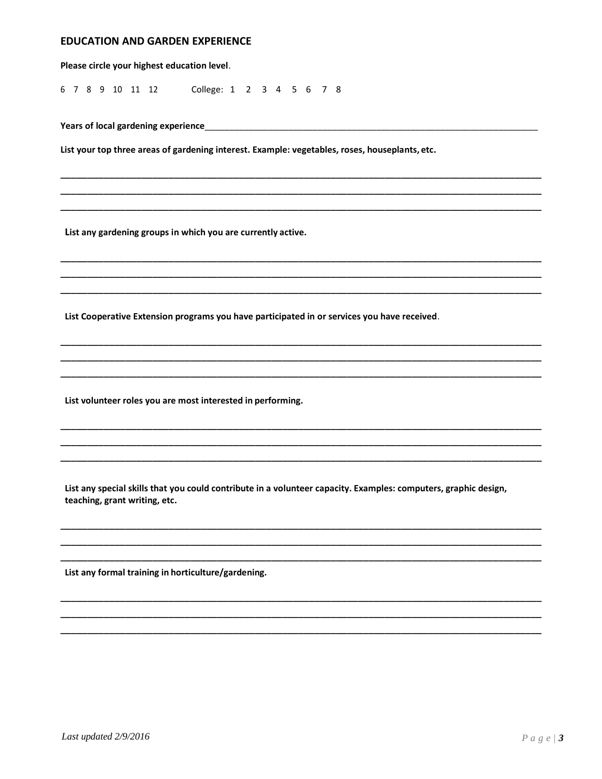#### **EDUCATION AND GARDEN EXPERIENCE**

Please circle your highest education level. 6 7 8 9 10 11 12 College: 1 2 3 4 5 6 7 8 List your top three areas of gardening interest. Example: vegetables, roses, houseplants, etc. List any gardening groups in which you are currently active. List Cooperative Extension programs you have participated in or services you have received. List volunteer roles you are most interested in performing.

List any special skills that you could contribute in a volunteer capacity. Examples: computers, graphic design, teaching, grant writing, etc.

List any formal training in horticulture/gardening.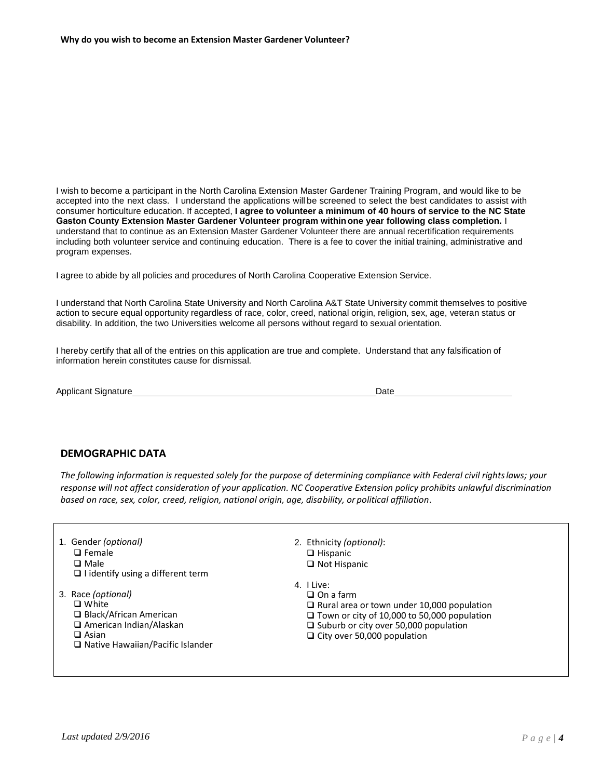I wish to become a participant in the North Carolina Extension Master Gardener Training Program, and would like to be accepted into the next class. I understand the applications will be screened to select the best candidates to assist with consumer horticulture education. If accepted, **I agree to volunteer a minimum of 40 hours of service to the NC State Gaston County Extension Master Gardener Volunteer program within one year following class completion.** I understand that to continue as an Extension Master Gardener Volunteer there are annual recertification requirements including both volunteer service and continuing education. There is a fee to cover the initial training, administrative and program expenses.

I agree to abide by all policies and procedures of North Carolina Cooperative Extension Service.

I understand that North Carolina State University and North Carolina A&T State University commit themselves to positive action to secure equal opportunity regardless of race, color, creed, national origin, religion, sex, age, veteran status or disability. In addition, the two Universities welcome all persons without regard to sexual orientation.

I hereby certify that all of the entries on this application are true and complete. Understand that any falsification of information herein constitutes cause for dismissal.

Applicant Signature Date Date Applicant Signature Date Date Date Date Date

#### **DEMOGRAPHIC DATA**

*The following information is requested solely for the purpose of determining compliance with Federal civil rightslaws; your response will not affect consideration of your application. NC Cooperative Extension policy prohibits unlawful discrimination based on race, sex, color, creed, religion, national origin, age, disability, or political affiliation*.

- 1. Gender *(optional)* □ Female **Q** Male  $\Box$  I identify using a different term 3. Race *(optional)* □ White □ Black/African American □ American Indian/Alaskan □ Asian □ Native Hawaiian/Pacific Islander 2. Ethnicity *(optional)*:  $\Box$  Hispanic □ Not Hispanic 4. I Live: □ On a farm
	- $\Box$  Rural area or town under 10,000 population
	- $\Box$  Town or city of 10,000 to 50,000 population
	- $\Box$  Suburb or city over 50,000 population
	- $\Box$  City over 50,000 population